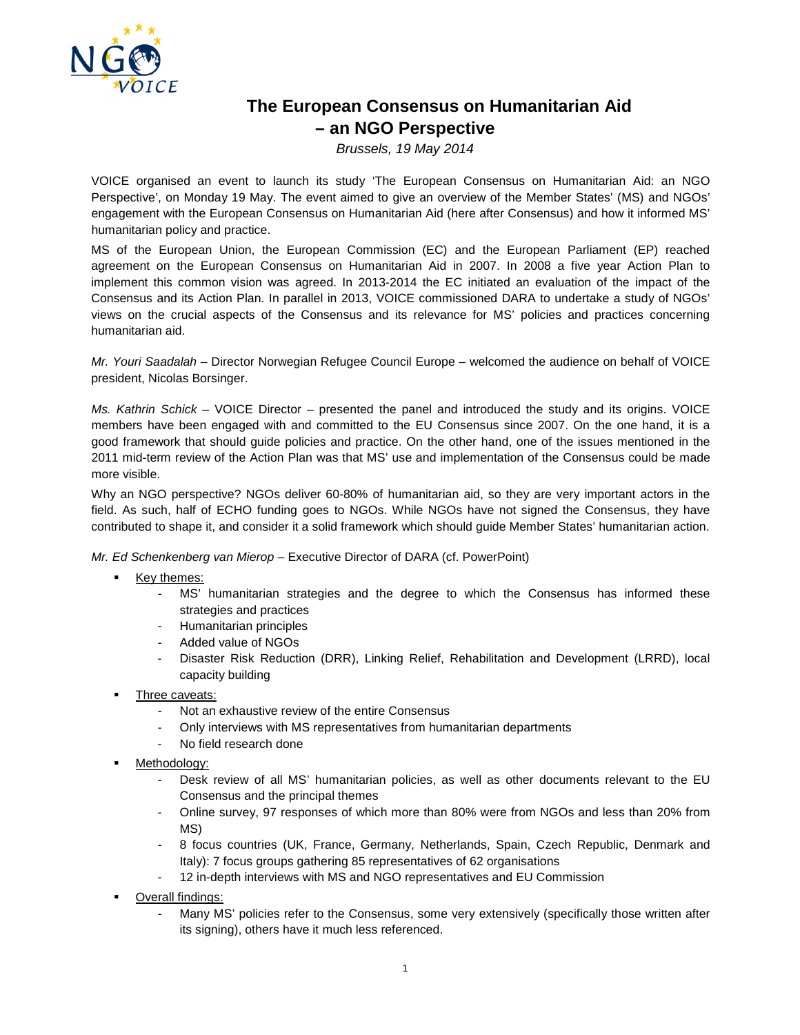

## **The European Consensus on Humanitarian Aid – an NGO Perspective**

Brussels, 19 May 2014

VOICE organised an event to launch its study 'The European Consensus on Humanitarian Aid: an NGO Perspective', on Monday 19 May. The event aimed to give an overview of the Member States' (MS) and NGOs' engagement with the European Consensus on Humanitarian Aid (here after Consensus) and how it informed MS' humanitarian policy and practice.

MS of the European Union, the European Commission (EC) and the European Parliament (EP) reached agreement on the European Consensus on Humanitarian Aid in 2007. In 2008 a five year Action Plan to implement this common vision was agreed. In 2013-2014 the EC initiated an evaluation of the impact of the Consensus and its Action Plan. In parallel in 2013, VOICE commissioned DARA to undertake a study of NGOs' views on the crucial aspects of the Consensus and its relevance for MS' policies and practices concerning humanitarian aid.

Mr. Youri Saadalah – Director Norwegian Refugee Council Europe – welcomed the audience on behalf of VOICE president, Nicolas Borsinger.

Ms. Kathrin Schick – VOICE Director – presented the panel and introduced the study and its origins. VOICE members have been engaged with and committed to the EU Consensus since 2007. On the one hand, it is a good framework that should guide policies and practice. On the other hand, one of the issues mentioned in the 2011 mid-term review of the Action Plan was that MS' use and implementation of the Consensus could be made more visible.

Why an NGO perspective? NGOs deliver 60-80% of humanitarian aid, so they are very important actors in the field. As such, half of ECHO funding goes to NGOs. While NGOs have not signed the Consensus, they have contributed to shape it, and consider it a solid framework which should guide Member States' humanitarian action.

Mr. Ed Schenkenberg van Mierop – Executive Director of DARA (cf. PowerPoint)

- Key themes:
	- MS' humanitarian strategies and the degree to which the Consensus has informed these strategies and practices
	- Humanitarian principles
	- Added value of NGOs
	- Disaster Risk Reduction (DRR), Linking Relief, Rehabilitation and Development (LRRD), local capacity building
- Three caveats:
	- Not an exhaustive review of the entire Consensus
	- Only interviews with MS representatives from humanitarian departments
	- No field research done
- Methodology:
	- Desk review of all MS' humanitarian policies, as well as other documents relevant to the EU Consensus and the principal themes
	- Online survey, 97 responses of which more than 80% were from NGOs and less than 20% from MS)
	- 8 focus countries (UK, France, Germany, Netherlands, Spain, Czech Republic, Denmark and Italy): 7 focus groups gathering 85 representatives of 62 organisations
	- 12 in-depth interviews with MS and NGO representatives and EU Commission
- Overall findings:
	- Many MS' policies refer to the Consensus, some very extensively (specifically those written after its signing), others have it much less referenced.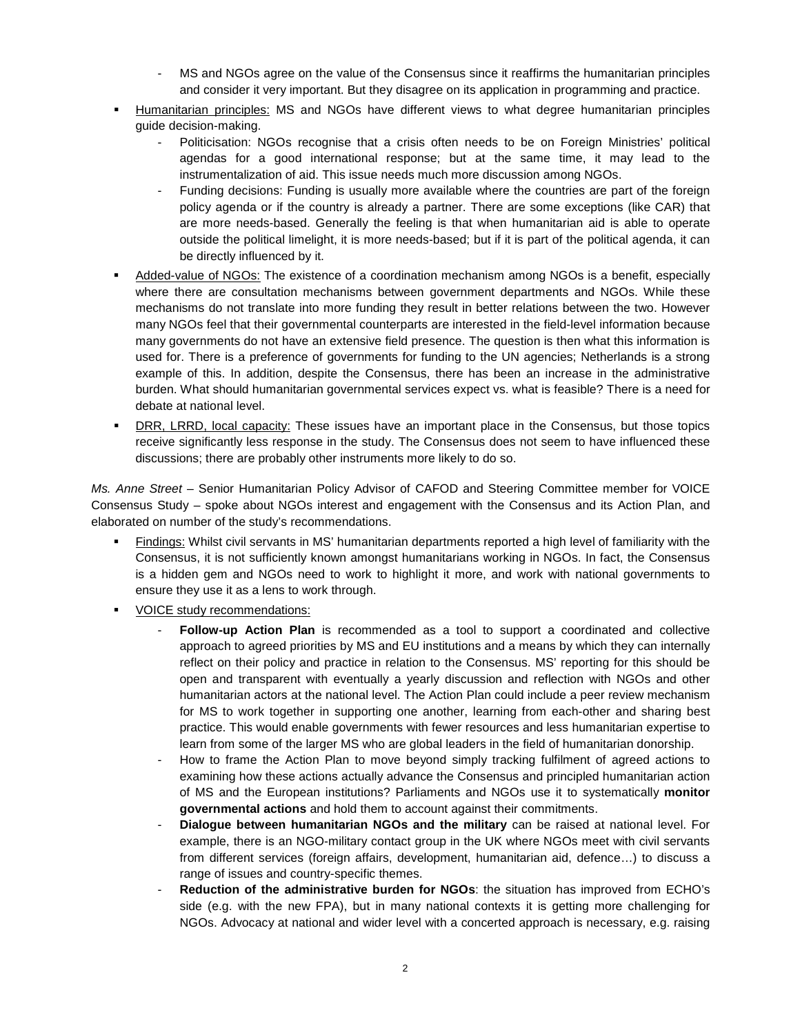- MS and NGOs agree on the value of the Consensus since it reaffirms the humanitarian principles and consider it very important. But they disagree on its application in programming and practice.
- Humanitarian principles: MS and NGOs have different views to what degree humanitarian principles guide decision-making.
	- Politicisation: NGOs recognise that a crisis often needs to be on Foreign Ministries' political agendas for a good international response; but at the same time, it may lead to the instrumentalization of aid. This issue needs much more discussion among NGOs.
	- Funding decisions: Funding is usually more available where the countries are part of the foreign policy agenda or if the country is already a partner. There are some exceptions (like CAR) that are more needs-based. Generally the feeling is that when humanitarian aid is able to operate outside the political limelight, it is more needs-based; but if it is part of the political agenda, it can be directly influenced by it.
- Added-value of NGOs: The existence of a coordination mechanism among NGOs is a benefit, especially where there are consultation mechanisms between government departments and NGOs. While these mechanisms do not translate into more funding they result in better relations between the two. However many NGOs feel that their governmental counterparts are interested in the field-level information because many governments do not have an extensive field presence. The question is then what this information is used for. There is a preference of governments for funding to the UN agencies; Netherlands is a strong example of this. In addition, despite the Consensus, there has been an increase in the administrative burden. What should humanitarian governmental services expect vs. what is feasible? There is a need for debate at national level.
- DRR, LRRD, local capacity: These issues have an important place in the Consensus, but those topics receive significantly less response in the study. The Consensus does not seem to have influenced these discussions; there are probably other instruments more likely to do so.

Ms. Anne Street – Senior Humanitarian Policy Advisor of CAFOD and Steering Committee member for VOICE Consensus Study – spoke about NGOs interest and engagement with the Consensus and its Action Plan, and elaborated on number of the study's recommendations.

- Findings: Whilst civil servants in MS' humanitarian departments reported a high level of familiarity with the Consensus, it is not sufficiently known amongst humanitarians working in NGOs. In fact, the Consensus is a hidden gem and NGOs need to work to highlight it more, and work with national governments to ensure they use it as a lens to work through.
- VOICE study recommendations:
	- **Follow-up Action Plan** is recommended as a tool to support a coordinated and collective approach to agreed priorities by MS and EU institutions and a means by which they can internally reflect on their policy and practice in relation to the Consensus. MS' reporting for this should be open and transparent with eventually a yearly discussion and reflection with NGOs and other humanitarian actors at the national level. The Action Plan could include a peer review mechanism for MS to work together in supporting one another, learning from each-other and sharing best practice. This would enable governments with fewer resources and less humanitarian expertise to learn from some of the larger MS who are global leaders in the field of humanitarian donorship.
	- How to frame the Action Plan to move beyond simply tracking fulfilment of agreed actions to examining how these actions actually advance the Consensus and principled humanitarian action of MS and the European institutions? Parliaments and NGOs use it to systematically **monitor governmental actions** and hold them to account against their commitments.
	- **Dialogue between humanitarian NGOs and the military** can be raised at national level. For example, there is an NGO-military contact group in the UK where NGOs meet with civil servants from different services (foreign affairs, development, humanitarian aid, defence…) to discuss a range of issues and country-specific themes.
	- **Reduction of the administrative burden for NGOs:** the situation has improved from ECHO's side (e.g. with the new FPA), but in many national contexts it is getting more challenging for NGOs. Advocacy at national and wider level with a concerted approach is necessary, e.g. raising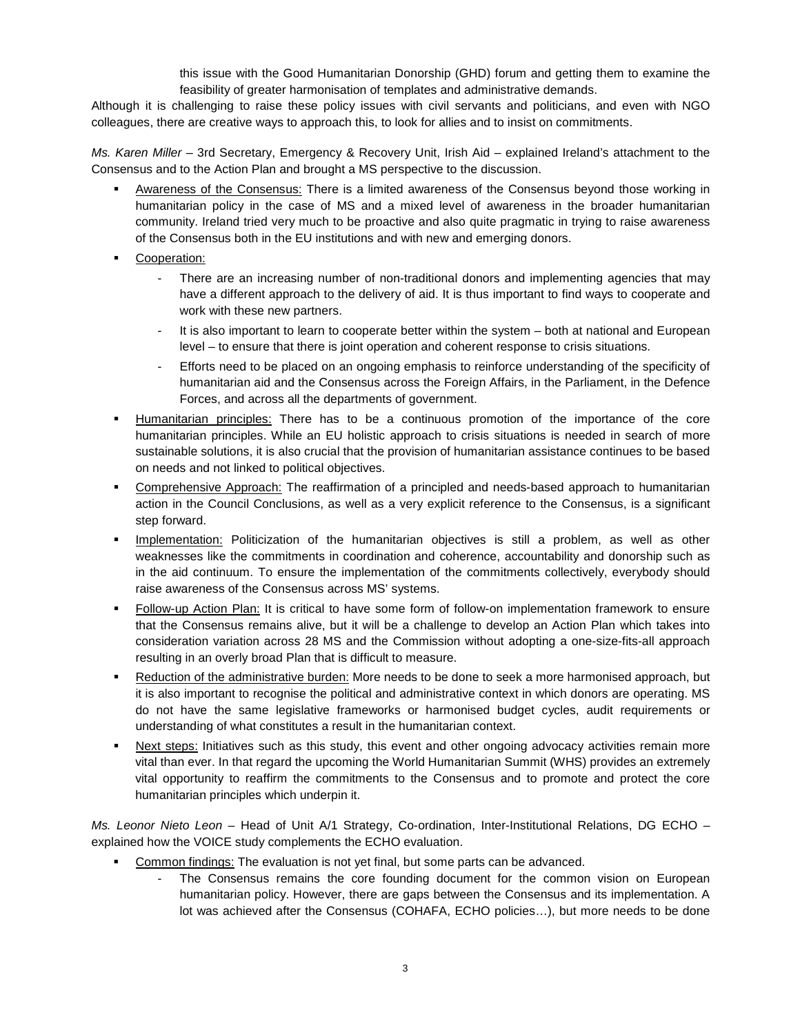this issue with the Good Humanitarian Donorship (GHD) forum and getting them to examine the feasibility of greater harmonisation of templates and administrative demands.

Although it is challenging to raise these policy issues with civil servants and politicians, and even with NGO colleagues, there are creative ways to approach this, to look for allies and to insist on commitments.

Ms. Karen Miller – 3rd Secretary, Emergency & Recovery Unit, Irish Aid – explained Ireland's attachment to the Consensus and to the Action Plan and brought a MS perspective to the discussion.

- Awareness of the Consensus: There is a limited awareness of the Consensus beyond those working in humanitarian policy in the case of MS and a mixed level of awareness in the broader humanitarian community. Ireland tried very much to be proactive and also quite pragmatic in trying to raise awareness of the Consensus both in the EU institutions and with new and emerging donors.
- **Cooperation:** 
	- There are an increasing number of non-traditional donors and implementing agencies that may have a different approach to the delivery of aid. It is thus important to find ways to cooperate and work with these new partners.
	- It is also important to learn to cooperate better within the system both at national and European level – to ensure that there is joint operation and coherent response to crisis situations.
	- Efforts need to be placed on an ongoing emphasis to reinforce understanding of the specificity of humanitarian aid and the Consensus across the Foreign Affairs, in the Parliament, in the Defence Forces, and across all the departments of government.
- Humanitarian principles: There has to be a continuous promotion of the importance of the core humanitarian principles. While an EU holistic approach to crisis situations is needed in search of more sustainable solutions, it is also crucial that the provision of humanitarian assistance continues to be based on needs and not linked to political objectives.
- Comprehensive Approach: The reaffirmation of a principled and needs-based approach to humanitarian action in the Council Conclusions, as well as a very explicit reference to the Consensus, is a significant step forward.
- Implementation: Politicization of the humanitarian objectives is still a problem, as well as other weaknesses like the commitments in coordination and coherence, accountability and donorship such as in the aid continuum. To ensure the implementation of the commitments collectively, everybody should raise awareness of the Consensus across MS' systems.
- Follow-up Action Plan: It is critical to have some form of follow-on implementation framework to ensure that the Consensus remains alive, but it will be a challenge to develop an Action Plan which takes into consideration variation across 28 MS and the Commission without adopting a one-size-fits-all approach resulting in an overly broad Plan that is difficult to measure.
- Reduction of the administrative burden: More needs to be done to seek a more harmonised approach, but it is also important to recognise the political and administrative context in which donors are operating. MS do not have the same legislative frameworks or harmonised budget cycles, audit requirements or understanding of what constitutes a result in the humanitarian context.
- Next steps: Initiatives such as this study, this event and other ongoing advocacy activities remain more vital than ever. In that regard the upcoming the World Humanitarian Summit (WHS) provides an extremely vital opportunity to reaffirm the commitments to the Consensus and to promote and protect the core humanitarian principles which underpin it.

Ms. Leonor Nieto Leon - Head of Unit A/1 Strategy, Co-ordination, Inter-Institutional Relations, DG ECHO explained how the VOICE study complements the ECHO evaluation.

- Common findings: The evaluation is not yet final, but some parts can be advanced.
	- The Consensus remains the core founding document for the common vision on European humanitarian policy. However, there are gaps between the Consensus and its implementation. A lot was achieved after the Consensus (COHAFA, ECHO policies…), but more needs to be done